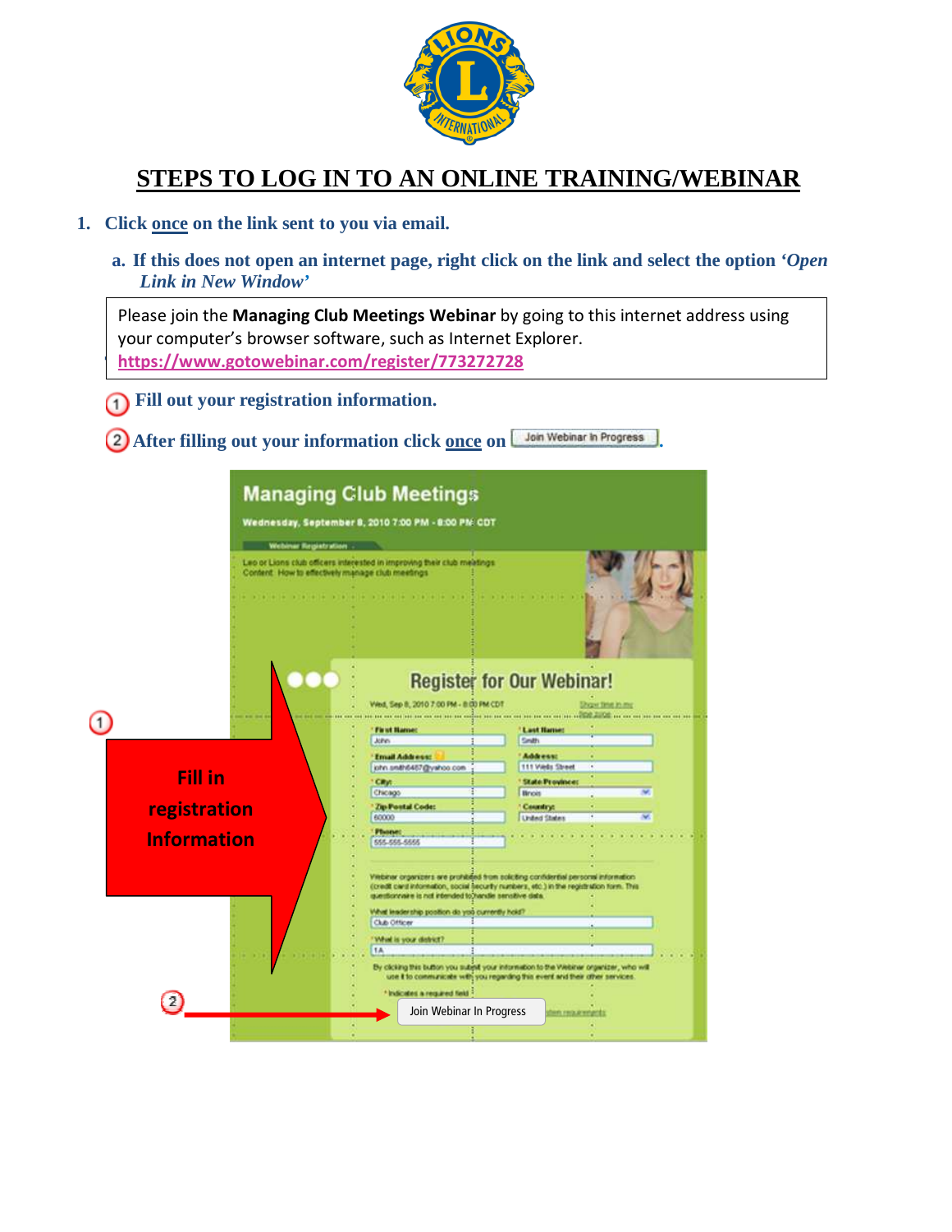

# **STEPS TO LOG IN TO AN ONLINE TRAINING/WEBINAR**

#### **1. Click once on the link sent to you via email.**

**a. If this does not open an internet page, right click on the link and select the option** *'Open Link in New Window'*

[https://www.gotowebinar.com/register/773272728](http://https://www.gotowebinar.com/register/773272728) Please join the Managing Club Meetings Webinar by going to this internet address using your computer's browser software, such as Internet Explorer.

- **Fill out your registration information.**
- **2** After filling out your information click once on *Don* Webinar in Progress

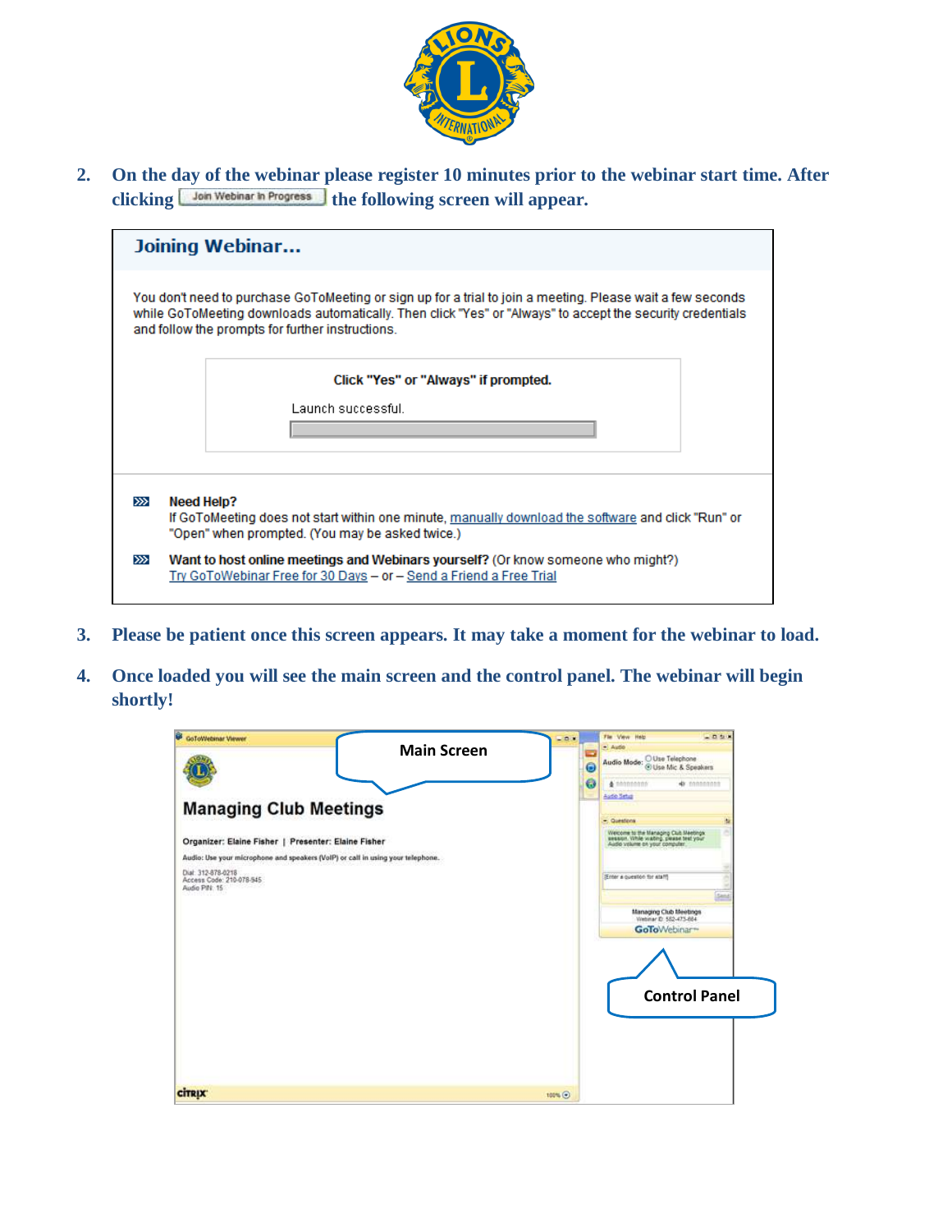

**2. On the day of the webinar please register 10 minutes prior to the webinar start time. After**  clicking **Join Webinar in Progress** the following screen will appear.

|       |            | Joining Webinar                                                                                                                                                                                                                                                              |
|-------|------------|------------------------------------------------------------------------------------------------------------------------------------------------------------------------------------------------------------------------------------------------------------------------------|
|       |            | You don't need to purchase GoToMeeting or sign up for a trial to join a meeting. Please wait a few seconds<br>while GoToMeeting downloads automatically. Then click "Yes" or "Always" to accept the security credentials<br>and follow the prompts for further instructions. |
|       |            | Click "Yes" or "Always" if prompted.                                                                                                                                                                                                                                         |
|       |            | Launch successful.                                                                                                                                                                                                                                                           |
|       |            |                                                                                                                                                                                                                                                                              |
| $\gg$ | Need Help? | If GoToMeeting does not start within one minute, manually download the software and click "Run" or<br>"Open" when prompted. (You may be asked twice.)                                                                                                                        |
| $\gg$ |            | Want to host online meetings and Webinars yourself? (Or know someone who might?)<br>Try GoToWebinar Free for 30 Days - or - Send a Friend a Free Trial                                                                                                                       |

- **3. Please be patient once this screen appears. It may take a moment for the webinar to load.**
- **4. Once loaded you will see the main screen and the control panel. The webinar will begin shortly!**

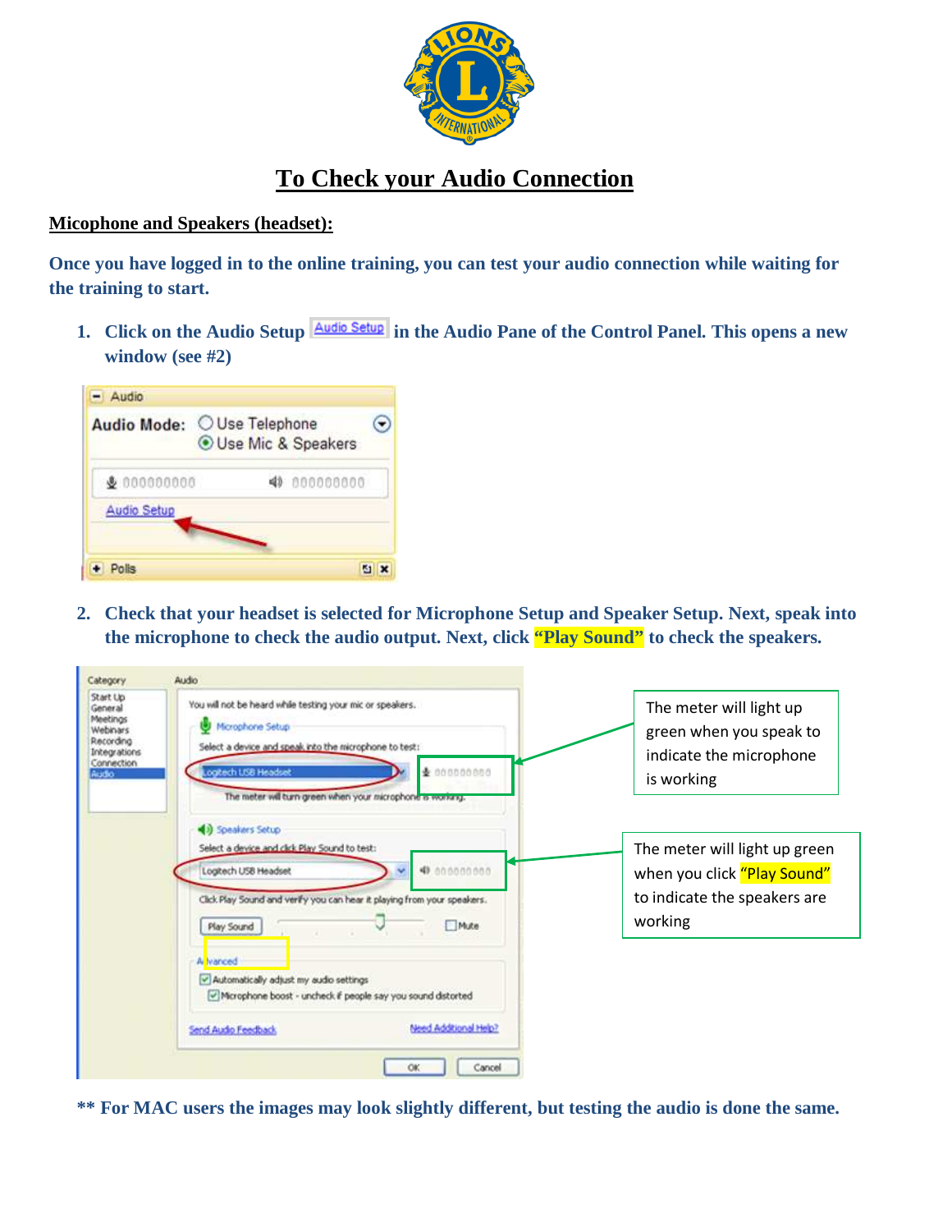

# **To Check your Audio Connection**

#### **Micophone and Speakers (headset):**

**Once you have logged in to the online training, you can test your audio connection while waiting for the training to start.** 

1. Click on the Audio Setup **Audio Setup** in the Audio Pane of the Control Panel. This opens a new **window (see #2)** 



**2. Check that your headset is selected for Microphone Setup and Speaker Setup. Next, speak into the microphone to check the audio output. Next, click "Play Sound" to check the speakers.** 

| You will not be heard while testing your mic or speakers.                                                                                                                                                   |                                                                                                         |
|-------------------------------------------------------------------------------------------------------------------------------------------------------------------------------------------------------------|---------------------------------------------------------------------------------------------------------|
| Microphone Setup<br>Select a device and speak into the microphone to test:<br>Logitech USB Headset<br>₹ 000000000<br>The meter will turn green when your microphone is working.                             | The meter will light up<br>green when you speak to<br>indicate the microphone<br>is working             |
| (a) Speakers Setup<br>Select a device and click Play Sound to test:<br>49.00000000<br>Logitech USB Headset<br>Click Play Sound and verify you can hear it playing from your speakers.<br>Mute<br>Play Sound | The meter will light up green<br>when you click "Play Sound"<br>to indicate the speakers are<br>working |
| A vanced<br>Automatically adjust my audio settings<br>Microphone boost - uncheck if people say you sound distorted<br>Need Additional Help?<br>Send Audio Feedback                                          |                                                                                                         |
|                                                                                                                                                                                                             |                                                                                                         |

**\*\* For MAC users the images may look slightly different, but testing the audio is done the same.**